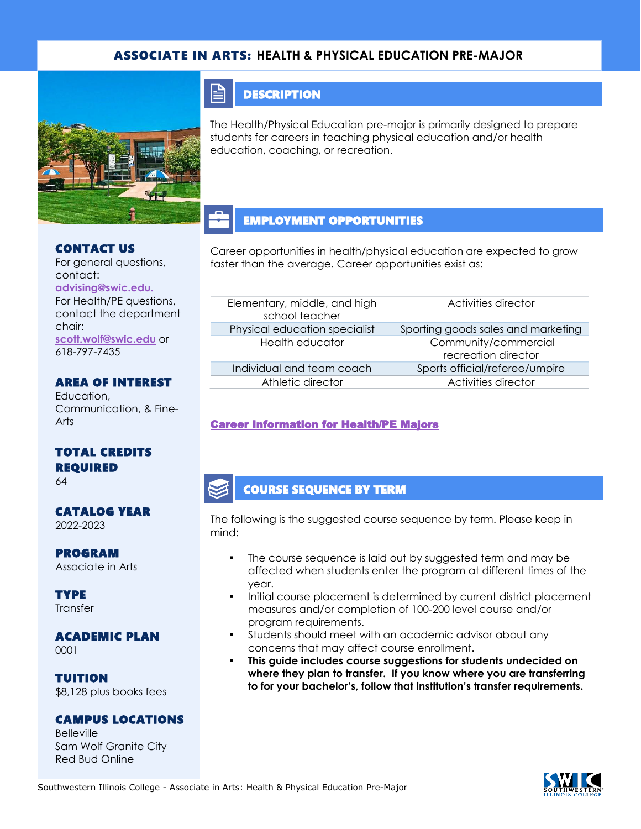### ASSOCIATE IN ARTS: **HEALTH & PHYSICAL EDUCATION PRE-MAJOR**



### **DESCRIPTION**

The Health/Physical Education pre-major is primarily designed to prepare students for careers in teaching physical education and/or health education, coaching, or recreation.

### EMPLOYMENT OPPORTUNITIES

Career opportunities in health/physical education are expected to grow faster than the average. Career opportunities exist as:

| Elementary, middle, and high<br>school teacher | Activities director                         |  |
|------------------------------------------------|---------------------------------------------|--|
| Physical education specialist                  | Sporting goods sales and marketing          |  |
| Health educator                                | Community/commercial<br>recreation director |  |
| Individual and team coach                      | Sports official/referee/umpire              |  |
| Athletic director                              | Activities director                         |  |

### [Career Information for Health/PE Majors](https://www.onetonline.org/find/quick?s=health%2Fphysical+education)

### COURSE SEQUENCE BY TERM

The following is the suggested course sequence by term. Please keep in mind:

- The course sequence is laid out by suggested term and may be affected when students enter the program at different times of the year.
- Initial course placement is determined by current district placement measures and/or completion of 100-200 level course and/or program requirements.
- Students should meet with an academic advisor about any concerns that may affect course enrollment.
- **This guide includes course suggestions for students undecided on where they plan to transfer. If you know where you are transferring to for your bachelor's, follow that institution's transfer requirements.**

### CONTACT US

For general questions, contact: **[advising@swic.edu.](mailto:advising@swic.edu)**  For Health/PE questions, contact the department chair: **[scott.wolf@swic.edu](mailto:scott.wolf@swic.edu)** or

618-797-7435

AREA OF INTEREST Education,

Communication, & Fine-Arts

## TOTAL CREDITS REQUIRED

64

# CATALOG YEAR

2022-2023

## PROGRAM

Associate in Arts

**TYPE Transfer** 

#### ACADEMIC PLAN 0001

TUITION \$8,128 plus books fees

## CAMPUS LOCATIONS

**Belleville** Sam Wolf Granite City Red Bud Online